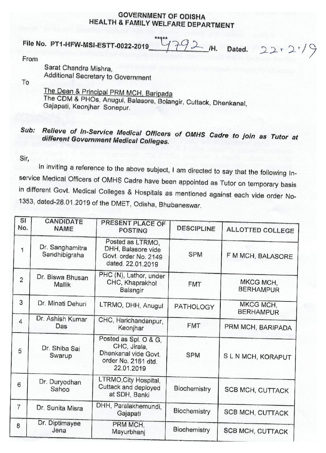## **GOVERNMENT OF ODISHA HEALTH & FAMILY WELFARE DEPARTMENT**

**\*\* File No. PT1-HFW-MSI-ESTT-0022-2019**  $\frac{4792 \mu}{440}$  /H. Dated.  $22 \cdot 2 \cdot$ 

From

Sarat Chandra Mishra, Additional Secretary to Government

To

The Dean & Principal PRM MCH, Baripada The CDM & PHOs, Anugul, Balasore, Bolangir, Cuttack, Dhenkanal, Gajapati, Keonjhar Sonepur.

## **Sub: Relieve of In-Service Medical Officers of OMHS Cadre to join as Tutor at different (3overnment Medical Colleges.**

Sir,

In inviting a reference to the above subject, I am directed to say that the following Inservice Medical Officers of OMHS Cadre have been appointed as Tutor on temporary basis in different Govt. Medical Colleges & Hospitals as mentioned against each vide order No-1353, dated-26.01.2019 of the DMET, Odisha, Bhubaneswar.

| $\mathbf{S}$<br>No. | CANDIDATE<br><b>NAME</b>         | PRESENT PLACE OF<br><b>POSTING</b>                                                                 | <b>DESCIPLINE</b> | <b>ALLOTTED COLLEGE</b>       |
|---------------------|----------------------------------|----------------------------------------------------------------------------------------------------|-------------------|-------------------------------|
| 1                   | Dr. Sanghamitra<br>Sandhibigraha | Posted as LTRMO,<br>DHH, Balasore vide<br>Govt. order No. 2149<br>dated. 22.01.2019                | <b>SPM</b>        | F M MCH, BALASORE             |
| $\overline{2}$      | Dr. Biswa Bhusan<br>Mallik       | PHC (N), Lathor, under<br>CHC, Khaprakhol<br>Balangir                                              | <b>FMT</b>        | MKCG MCH.<br><b>BERHAMPUR</b> |
| 3                   | Dr. Minati Dehuri                | LTRMO, DHH, Anugul                                                                                 | PATHOLOGY         | MKCG MCH.<br><b>BERHAMPUR</b> |
| 4                   | Dr. Ashish Kumar<br>Das          | CHC, Harichandanpur,<br>Keonjhar                                                                   | <b>FMT</b>        | PRM MCH, BARIPADA             |
| 5                   | Dr. Shiba Sai<br>Swarup          | Posted as Spl. O & G,<br>CHC, Jirala,<br>Dhenkanal vide Govt.<br>order No. 2161 dtd.<br>22.01.2019 | <b>SPM</b>        | SLN MCH, KORAPUT              |
| 6                   | Dr. Duryodhan<br>Sahoo           | LTRMO, City Hospital,<br>Cuttack and deployed<br>at SDH, Banki                                     | Biochemistry      | <b>SCB MCH, CUTTACK</b>       |
| $\overline{7}$      | Dr. Sunita Misra                 | DHH, Paralakhemundi,<br>Gajapati                                                                   | Biochemistry      | <b>SCB MCH, CUTTACK</b>       |
| 8                   | Dr. Diptimayee<br>Jena           | PRM MCH,<br>Mayurbhanj                                                                             | Biochemistry      | SCB MCH, CUTTACK              |